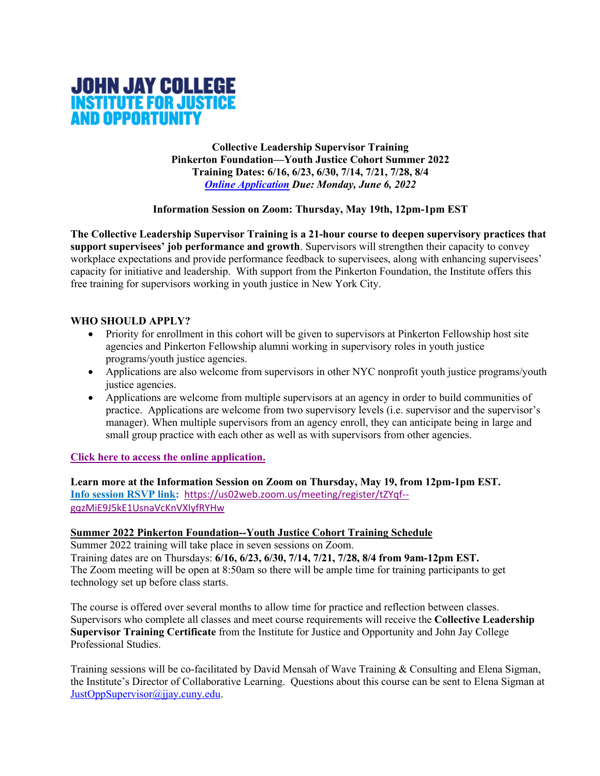

**Collective Leadership Supervisor Training Pinkerton Foundation—Youth Justice Cohort Summer 2022 Training Dates: 6/16, 6/23, 6/30, 7/14, 7/21, 7/28, 8/4** *Online Application Due: Monday, June 6, 2022*

### **Information Session on Zoom: Thursday, May 19th, 12pm-1pm EST**

**The Collective Leadership Supervisor Training is a 21-hour course to deepen supervisory practices that support supervisees' job performance and growth**. Supervisors will strengthen their capacity to convey workplace expectations and provide performance feedback to supervisees, along with enhancing supervisees' capacity for initiative and leadership. With support from the Pinkerton Foundation, the Institute offers this free training for supervisors working in youth justice in New York City.

### **WHO SHOULD APPLY?**

- Priority for enrollment in this cohort will be given to supervisors at Pinkerton Fellowship host site agencies and Pinkerton Fellowship alumni working in supervisory roles in youth justice programs/youth justice agencies.
- Applications are also welcome from supervisors in other NYC nonprofit youth justice programs/youth justice agencies.
- Applications are welcome from multiple supervisors at an agency in order to build communities of practice. Applications are welcome from two supervisory levels (i.e. supervisor and the supervisor's manager). When multiple supervisors from an agency enroll, they can anticipate being in large and small group practice with each other as well as with supervisors from other agencies.

### **Click here to access the online application.**

**Learn more at the Information Session on Zoom on Thursday, May 19, from 12pm-1pm EST. Info session RSVP link:** https://us02web.zoom.us/meeting/register/tZYqf- gqzMiE9J5kE1UsnaVcKnVXIyfRYHw

### **Summer 2022 Pinkerton Foundation--Youth Justice Cohort Training Schedule**

Summer 2022 training will take place in seven sessions on Zoom. Training dates are on Thursdays: **6/16, 6/23, 6/30, 7/14, 7/21, 7/28, 8/4 from 9am-12pm EST.** The Zoom meeting will be open at 8:50am so there will be ample time for training participants to get technology set up before class starts.

The course is offered over several months to allow time for practice and reflection between classes. Supervisors who complete all classes and meet course requirements will receive the **Collective Leadership Supervisor Training Certificate** from the Institute for Justice and Opportunity and John Jay College Professional Studies.

Training sessions will be co-facilitated by David Mensah of Wave Training & Consulting and Elena Sigman, the Institute's Director of Collaborative Learning. Questions about this course can be sent to Elena Sigman at JustOppSupervisor@jjay.cuny.edu.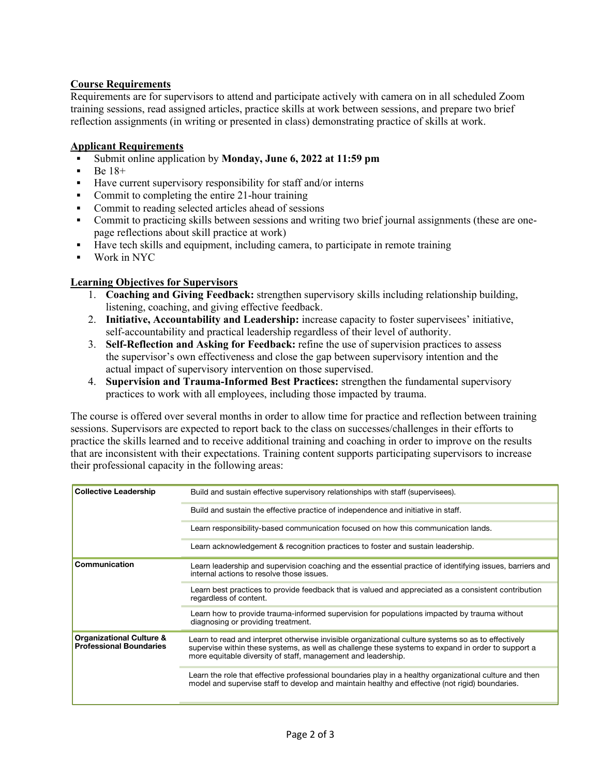# **Course Requirements**

Requirements are for supervisors to attend and participate actively with camera on in all scheduled Zoom training sessions, read assigned articles, practice skills at work between sessions, and prepare two brief reflection assignments (in writing or presented in class) demonstrating practice of skills at work.

### **Applicant Requirements**

- § Submit online application by **Monday, June 6, 2022 at 11:59 pm**
- § Be 18+
- Have current supervisory responsibility for staff and/or interns
- Commit to completing the entire 21-hour training
- § Commit to reading selected articles ahead of sessions
- § Commit to practicing skills between sessions and writing two brief journal assignments (these are onepage reflections about skill practice at work)
- Have tech skills and equipment, including camera, to participate in remote training
- § Work in NYC

### **Learning Objectives for Supervisors**

- 1. **Coaching and Giving Feedback:** strengthen supervisory skills including relationship building, listening, coaching, and giving effective feedback.
- 2. **Initiative, Accountability and Leadership:** increase capacity to foster supervisees' initiative, self-accountability and practical leadership regardless of their level of authority.
- 3. **Self-Reflection and Asking for Feedback:** refine the use of supervision practices to assess the supervisor's own effectiveness and close the gap between supervisory intention and the actual impact of supervisory intervention on those supervised.
- 4. **Supervision and Trauma-Informed Best Practices:** strengthen the fundamental supervisory practices to work with all employees, including those impacted by trauma.

The course is offered over several months in order to allow time for practice and reflection between training sessions. Supervisors are expected to report back to the class on successes/challenges in their efforts to practice the skills learned and to receive additional training and coaching in order to improve on the results that are inconsistent with their expectations. Training content supports participating supervisors to increase their professional capacity in the following areas:

| <b>Collective Leadership</b>                                          | Build and sustain effective supervisory relationships with staff (supervisees).                                                                                                                                                                                            |
|-----------------------------------------------------------------------|----------------------------------------------------------------------------------------------------------------------------------------------------------------------------------------------------------------------------------------------------------------------------|
|                                                                       | Build and sustain the effective practice of independence and initiative in staff.                                                                                                                                                                                          |
|                                                                       | Learn responsibility-based communication focused on how this communication lands.                                                                                                                                                                                          |
|                                                                       | Learn acknowledgement & recognition practices to foster and sustain leadership.                                                                                                                                                                                            |
| Communication                                                         | Learn leadership and supervision coaching and the essential practice of identifying issues, barriers and<br>internal actions to resolve those issues.                                                                                                                      |
|                                                                       | Learn best practices to provide feedback that is valued and appreciated as a consistent contribution<br>regardless of content.                                                                                                                                             |
|                                                                       | Learn how to provide trauma-informed supervision for populations impacted by trauma without<br>diagnosing or providing treatment.                                                                                                                                          |
| <b>Organizational Culture &amp;</b><br><b>Professional Boundaries</b> | Learn to read and interpret otherwise invisible organizational culture systems so as to effectively<br>supervise within these systems, as well as challenge these systems to expand in order to support a<br>more equitable diversity of staff, management and leadership. |
|                                                                       | Learn the role that effective professional boundaries play in a healthy organizational culture and then<br>model and supervise staff to develop and maintain healthy and effective (not rigid) boundaries.                                                                 |